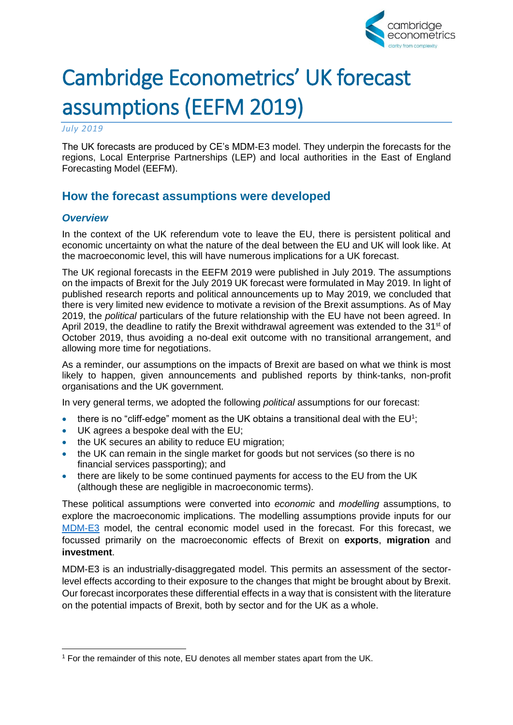

# Cambridge Econometrics' UK forecast assumptions (EEFM 2019)

*July 2019*

The UK forecasts are produced by CE's MDM-E3 model. They underpin the forecasts for the regions, Local Enterprise Partnerships (LEP) and local authorities in the East of England Forecasting Model (EEFM).

## **How the forecast assumptions were developed**

### *Overview*

In the context of the UK referendum vote to leave the EU, there is persistent political and economic uncertainty on what the nature of the deal between the EU and UK will look like. At the macroeconomic level, this will have numerous implications for a UK forecast.

The UK regional forecasts in the EEFM 2019 were published in July 2019. The assumptions on the impacts of Brexit for the July 2019 UK forecast were formulated in May 2019. In light of published research reports and political announcements up to May 2019, we concluded that there is very limited new evidence to motivate a revision of the Brexit assumptions. As of May 2019, the *political* particulars of the future relationship with the EU have not been agreed. In April 2019, the deadline to ratify the Brexit withdrawal agreement was extended to the  $31<sup>st</sup>$  of October 2019, thus avoiding a no-deal exit outcome with no transitional arrangement, and allowing more time for negotiations.

As a reminder, our assumptions on the impacts of Brexit are based on what we think is most likely to happen, given announcements and published reports by think-tanks, non-profit organisations and the UK government.

In very general terms, we adopted the following *political* assumptions for our forecast:

- there is no "cliff-edge" moment as the UK obtains a transitional deal with the  $EU^1$ ;
- UK agrees a bespoke deal with the EU;
- the UK secures an ability to reduce EU migration;
- the UK can remain in the single market for goods but not services (so there is no financial services passporting); and
- there are likely to be some continued payments for access to the EU from the UK (although these are negligible in macroeconomic terms).

These political assumptions were converted into *economic* and *modelling* assumptions, to explore the macroeconomic implications. The modelling assumptions provide inputs for our [MDM-E3](http://www.camecon.com/how/mdm-e3-model/) model, the central economic model used in the forecast. For this forecast, we focussed primarily on the macroeconomic effects of Brexit on **exports**, **migration** and **investment**.

MDM-E3 is an industrially-disaggregated model. This permits an assessment of the sectorlevel effects according to their exposure to the changes that might be brought about by Brexit. Our forecast incorporates these differential effects in a way that is consistent with the literature on the potential impacts of Brexit, both by sector and for the UK as a whole.

<sup>1</sup> For the remainder of this note, EU denotes all member states apart from the UK.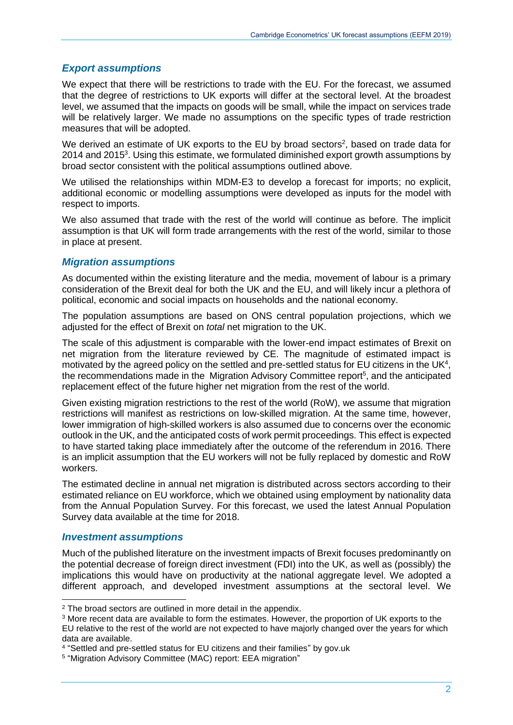#### *Export assumptions*

We expect that there will be restrictions to trade with the EU. For the forecast, we assumed that the degree of restrictions to UK exports will differ at the sectoral level. At the broadest level, we assumed that the impacts on goods will be small, while the impact on services trade will be relatively larger. We made no assumptions on the specific types of trade restriction measures that will be adopted.

We derived an estimate of UK exports to the EU by broad sectors<sup>2</sup>, based on trade data for 2014 and 2015<sup>3</sup>. Using this estimate, we formulated diminished export growth assumptions by broad sector consistent with the political assumptions outlined above.

We utilised the relationships within MDM-E3 to develop a forecast for imports; no explicit, additional economic or modelling assumptions were developed as inputs for the model with respect to imports.

We also assumed that trade with the rest of the world will continue as before. The implicit assumption is that UK will form trade arrangements with the rest of the world, similar to those in place at present.

#### *Migration assumptions*

As documented within the existing literature and the media, movement of labour is a primary consideration of the Brexit deal for both the UK and the EU, and will likely incur a plethora of political, economic and social impacts on households and the national economy.

The population assumptions are based on ONS central population projections, which we adjusted for the effect of Brexit on *total* net migration to the UK.

The scale of this adjustment is comparable with the lower-end impact estimates of Brexit on net migration from the literature reviewed by CE. The magnitude of estimated impact is motivated by the agreed policy on the settled and pre-settled status for EU citizens in the UK<sup>4</sup>, the recommendations made in the Migration Advisory Committee report<sup>5</sup>, and the anticipated replacement effect of the future higher net migration from the rest of the world.

Given existing migration restrictions to the rest of the world (RoW), we assume that migration restrictions will manifest as restrictions on low-skilled migration. At the same time, however, lower immigration of high-skilled workers is also assumed due to concerns over the economic outlook in the UK, and the anticipated costs of work permit proceedings. This effect is expected to have started taking place immediately after the outcome of the referendum in 2016. There is an implicit assumption that the EU workers will not be fully replaced by domestic and RoW workers.

The estimated decline in annual net migration is distributed across sectors according to their estimated reliance on EU workforce, which we obtained using employment by nationality data from the Annual Population Survey. For this forecast, we used the latest Annual Population Survey data available at the time for 2018.

#### *Investment assumptions*

Much of the published literature on the investment impacts of Brexit focuses predominantly on the potential decrease of foreign direct investment (FDI) into the UK, as well as (possibly) the implications this would have on productivity at the national aggregate level. We adopted a different approach, and developed investment assumptions at the sectoral level. We

<sup>&</sup>lt;sup>2</sup> The broad sectors are outlined in more detail in the appendix.

<sup>3</sup> More recent data are available to form the estimates. However, the proportion of UK exports to the EU relative to the rest of the world are not expected to have majorly changed over the years for which data are available.

<sup>4</sup> "Settled and pre-settled status for EU citizens and their families" by gov.uk

<sup>5</sup> "Migration Advisory Committee (MAC) report: EEA migration"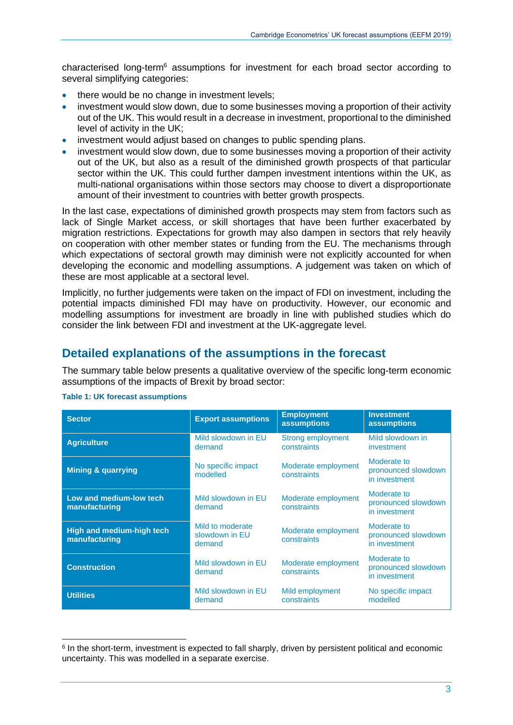characterised long-term<sup>6</sup> assumptions for investment for each broad sector according to several simplifying categories:

- there would be no change in investment levels;
- investment would slow down, due to some businesses moving a proportion of their activity out of the UK. This would result in a decrease in investment, proportional to the diminished level of activity in the UK;
- investment would adjust based on changes to public spending plans.
- investment would slow down, due to some businesses moving a proportion of their activity out of the UK, but also as a result of the diminished growth prospects of that particular sector within the UK. This could further dampen investment intentions within the UK, as multi-national organisations within those sectors may choose to divert a disproportionate amount of their investment to countries with better growth prospects.

In the last case, expectations of diminished growth prospects may stem from factors such as lack of Single Market access, or skill shortages that have been further exacerbated by migration restrictions. Expectations for growth may also dampen in sectors that rely heavily on cooperation with other member states or funding from the EU. The mechanisms through which expectations of sectoral growth may diminish were not explicitly accounted for when developing the economic and modelling assumptions. A judgement was taken on which of these are most applicable at a sectoral level.

Implicitly, no further judgements were taken on the impact of FDI on investment, including the potential impacts diminished FDI may have on productivity. However, our economic and modelling assumptions for investment are broadly in line with published studies which do consider the link between FDI and investment at the UK-aggregate level.

### **Detailed explanations of the assumptions in the forecast**

The summary table below presents a qualitative overview of the specific long-term economic assumptions of the impacts of Brexit by broad sector:

| <b>Sector</b>                                     | <b>Export assumptions</b>                    | <b>Employment</b><br><b>assumptions</b> | <b>Investment</b><br><b>assumptions</b>             |
|---------------------------------------------------|----------------------------------------------|-----------------------------------------|-----------------------------------------------------|
| <b>Agriculture</b>                                | Mild slowdown in EU<br>demand                | <b>Strong employment</b><br>constraints | Mild slowdown in<br>investment                      |
| <b>Mining &amp; quarrying</b>                     | No specific impact<br>modelled               | Moderate employment<br>constraints      | Moderate to<br>pronounced slowdown<br>in investment |
| Low and medium-low tech<br>manufacturing          | Mild slowdown in EU<br>demand                | Moderate employment<br>constraints      | Moderate to<br>pronounced slowdown<br>in investment |
| <b>High and medium-high tech</b><br>manufacturing | Mild to moderate<br>slowdown in EU<br>demand | Moderate employment<br>constraints      | Moderate to<br>pronounced slowdown<br>in investment |
| <b>Construction</b>                               | Mild slowdown in EU<br>demand                | Moderate employment<br>constraints      | Moderate to<br>pronounced slowdown<br>in investment |
| <b>Utilities</b>                                  | Mild slowdown in EU<br>demand                | Mild employment<br>constraints          | No specific impact<br>modelled                      |

#### **Table 1: UK forecast assumptions**

<sup>&</sup>lt;sup>6</sup> In the short-term, investment is expected to fall sharply, driven by persistent political and economic uncertainty. This was modelled in a separate exercise.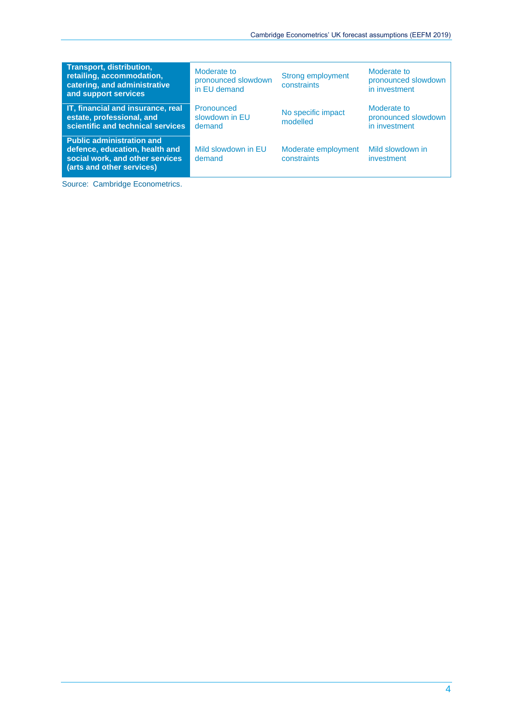| <b>Transport, distribution,</b><br>retailing, accommodation,<br>catering, and administrative<br>and support services               | Moderate to<br>pronounced slowdown<br>in EU demand | <b>Strong employment</b><br>constraints | Moderate to<br>pronounced slowdown<br>in investment |
|------------------------------------------------------------------------------------------------------------------------------------|----------------------------------------------------|-----------------------------------------|-----------------------------------------------------|
| IT, financial and insurance, real<br>estate, professional, and<br>scientific and technical services                                | Pronounced<br>slowdown in EU<br>demand             | No specific impact<br>modelled          | Moderate to<br>pronounced slowdown<br>in investment |
| <b>Public administration and</b><br>defence, education, health and<br>social work, and other services<br>(arts and other services) | Mild slowdown in EU<br>demand                      | Moderate employment<br>constraints      | Mild slowdown in<br>investment                      |

Source: Cambridge Econometrics.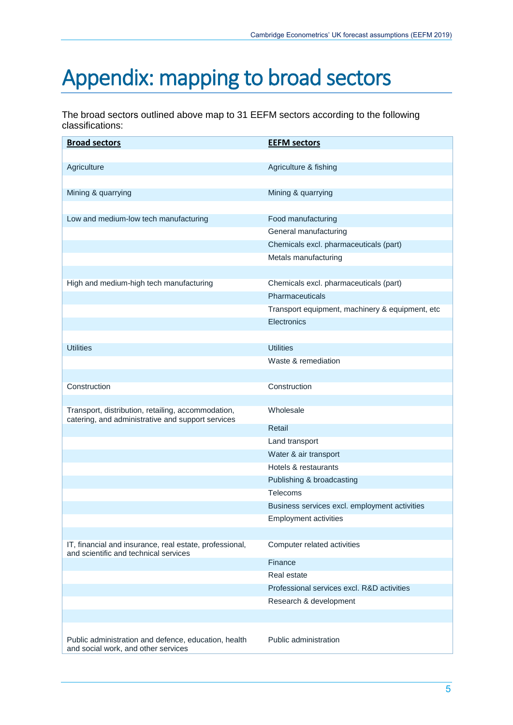## Appendix: mapping to broad sectors

The broad sectors outlined above map to 31 EEFM sectors according to the following classifications:

| <b>Broad sectors</b>                                                                                    | <b>EEFM sectors</b>                             |
|---------------------------------------------------------------------------------------------------------|-------------------------------------------------|
|                                                                                                         |                                                 |
| Agriculture                                                                                             | Agriculture & fishing                           |
|                                                                                                         |                                                 |
| Mining & quarrying                                                                                      | Mining & quarrying                              |
|                                                                                                         |                                                 |
| Low and medium-low tech manufacturing                                                                   | Food manufacturing                              |
|                                                                                                         | General manufacturing                           |
|                                                                                                         | Chemicals excl. pharmaceuticals (part)          |
|                                                                                                         | Metals manufacturing                            |
|                                                                                                         |                                                 |
| High and medium-high tech manufacturing                                                                 | Chemicals excl. pharmaceuticals (part)          |
|                                                                                                         | Pharmaceuticals                                 |
|                                                                                                         | Transport equipment, machinery & equipment, etc |
|                                                                                                         | Electronics                                     |
|                                                                                                         |                                                 |
| <b>Utilities</b>                                                                                        | <b>Utilities</b>                                |
|                                                                                                         | Waste & remediation                             |
|                                                                                                         |                                                 |
| Construction                                                                                            | Construction                                    |
|                                                                                                         |                                                 |
| Transport, distribution, retailing, accommodation,<br>catering, and administrative and support services | Wholesale                                       |
|                                                                                                         | Retail                                          |
|                                                                                                         | Land transport                                  |
|                                                                                                         | Water & air transport                           |
|                                                                                                         | Hotels & restaurants                            |
|                                                                                                         | Publishing & broadcasting                       |
|                                                                                                         | Telecoms                                        |
|                                                                                                         | Business services excl. employment activities   |
|                                                                                                         | <b>Employment activities</b>                    |
|                                                                                                         |                                                 |
| IT, financial and insurance, real estate, professional,<br>and scientific and technical services        | Computer related activities                     |
|                                                                                                         | Finance                                         |
|                                                                                                         | Real estate                                     |
|                                                                                                         | Professional services excl. R&D activities      |
|                                                                                                         | Research & development                          |
|                                                                                                         |                                                 |
| Public administration and defence, education, health<br>and social work, and other services             | Public administration                           |